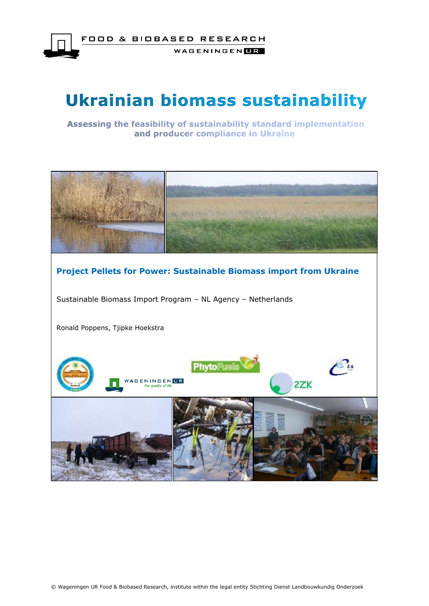

WAGENINGEN**LE** 

# **Ukrainian biomass sustainability**

Assessing the feasibility of sustainability standard implementation and producer compliance in Ukraine

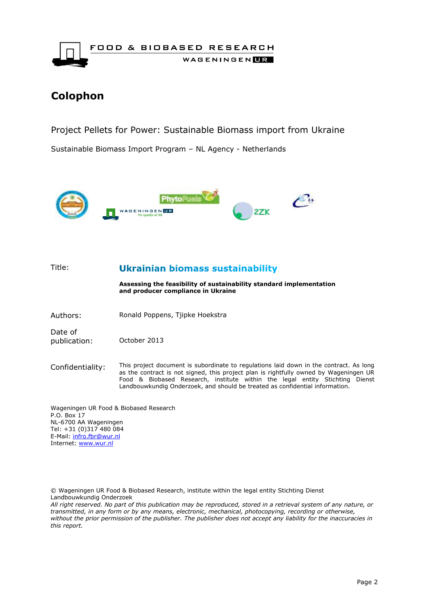

### **Colophon**

Project Pellets for Power: Sustainable Biomass import from Ukraine

Sustainable Biomass Import Program – NL Agency - Netherlands



Title: **Ukrainian biomass sustainability Assessing the feasibility of sustainability standard implementation and producer compliance in Ukraine** Authors: Ronald Poppens, Tjipke Hoekstra Date of publication: October 2013 Confidentiality: This project document is subordinate to regulations laid down in the contract. As long as the contract is not signed, this project plan is rightfully owned by Wageningen UR Food & Biobased Research, institute within the legal entity Stichting Dienst Landbouwkundig Onderzoek, and should be treated as confidential information. Wageningen UR Food & Biobased Research

P.O. Box 17 NL-6700 AA Wageningen Tel: +31 (0)317 480 084 E-Mail: [infro.fbr@wur.nl](mailto:infro.fbr@wur.nl) Internet: [www.wur.nl](http://www.wur.nl/)

© Wageningen UR Food & Biobased Research, institute within the legal entity Stichting Dienst Landbouwkundig Onderzoek

*All right reserved. No part of this publication may be reproduced, stored in a retrieval system of any nature, or transmitted, in any form or by any means, electronic, mechanical, photocopying, recording or otherwise, without the prior permission of the publisher. The publisher does not accept any liability for the inaccuracies in this report.*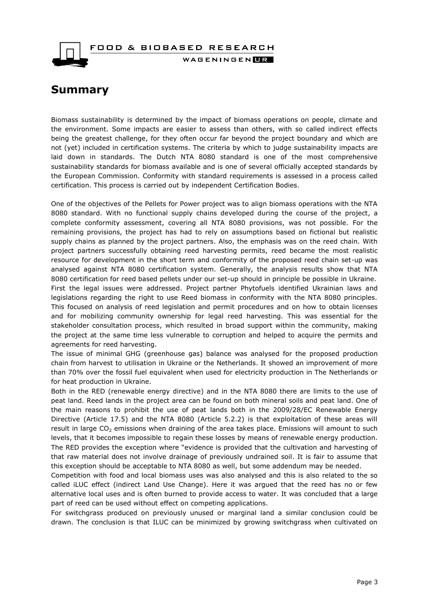

### <span id="page-2-0"></span>**Summary**

Biomass sustainability is determined by the impact of biomass operations on people, climate and the environment. Some impacts are easier to assess than others, with so called indirect effects being the greatest challenge, for they often occur far beyond the project boundary and which are not (yet) included in certification systems. The criteria by which to judge sustainability impacts are laid down in standards. The Dutch NTA 8080 standard is one of the most comprehensive sustainability standards for biomass available and is one of several officially accepted standards by the European Commission. Conformity with standard requirements is assessed in a process called certification. This process is carried out by independent Certification Bodies.

One of the objectives of the Pellets for Power project was to align biomass operations with the NTA 8080 standard. With no functional supply chains developed during the course of the project, a complete conformity assessment, covering all NTA 8080 provisions, was not possible. For the remaining provisions, the project has had to rely on assumptions based on fictional but realistic supply chains as planned by the project partners. Also, the emphasis was on the reed chain. With project partners successfully obtaining reed harvesting permits, reed became the most realistic resource for development in the short term and conformity of the proposed reed chain set-up was analysed against NTA 8080 certification system. Generally, the analysis results show that NTA 8080 certification for reed based pellets under our set-up should in principle be possible in Ukraine. First the legal issues were addressed. Project partner Phytofuels identified Ukrainian laws and legislations regarding the right to use Reed biomass in conformity with the NTA 8080 principles. This focused on analysis of reed legislation and permit procedures and on how to obtain licenses and for mobilizing community ownership for legal reed harvesting. This was essential for the stakeholder consultation process, which resulted in broad support within the community, making the project at the same time less vulnerable to corruption and helped to acquire the permits and agreements for reed harvesting.

The issue of minimal GHG (greenhouse gas) balance was analysed for the proposed production chain from harvest to utilisation in Ukraine or the Netherlands. It showed an improvement of more than 70% over the fossil fuel equivalent when used for electricity production in The Netherlands or for heat production in Ukraine.

Both in the RED (renewable energy directive) and in the NTA 8080 there are limits to the use of peat land. Reed lands in the project area can be found on both mineral soils and peat land. One of the main reasons to prohibit the use of peat lands both in the 2009/28/EC Renewable Energy Directive (Article 17.5) and the NTA 8080 (Article 5.2.2) is that exploitation of these areas will result in large CO<sub>2</sub> emissions when draining of the area takes place. Emissions will amount to such levels, that it becomes impossible to regain these losses by means of renewable energy production. The RED provides the exception where "evidence is provided that the cultivation and harvesting of that raw material does not involve drainage of previously undrained soil. It is fair to assume that this exception should be acceptable to NTA 8080 as well, but some addendum may be needed.

Competition with food and local biomass uses was also analysed and this is also related to the so called iLUC effect (indirect Land Use Change). Here it was argued that the reed has no or few alternative local uses and is often burned to provide access to water. It was concluded that a large part of reed can be used without effect on competing applications.

For switchgrass produced on previously unused or marginal land a similar conclusion could be drawn. The conclusion is that ILUC can be minimized by growing switchgrass when cultivated on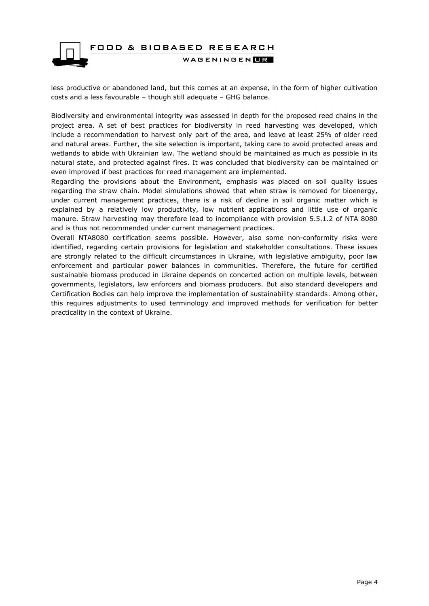

less productive or abandoned land, but this comes at an expense, in the form of higher cultivation costs and a less favourable – though still adequate – GHG balance.

Biodiversity and environmental integrity was assessed in depth for the proposed reed chains in the project area. A set of best practices for biodiversity in reed harvesting was developed, which include a recommendation to harvest only part of the area, and leave at least 25% of older reed and natural areas. Further, the site selection is important, taking care to avoid protected areas and wetlands to abide with Ukrainian law. The wetland should be maintained as much as possible in its natural state, and protected against fires. It was concluded that biodiversity can be maintained or even improved if best practices for reed management are implemented.

Regarding the provisions about the Environment, emphasis was placed on soil quality issues regarding the straw chain. Model simulations showed that when straw is removed for bioenergy, under current management practices, there is a risk of decline in soil organic matter which is explained by a relatively low productivity, low nutrient applications and little use of organic manure. Straw harvesting may therefore lead to incompliance with provision 5.5.1.2 of NTA 8080 and is thus not recommended under current management practices.

Overall NTA8080 certification seems possible. However, also some non-conformity risks were identified, regarding certain provisions for legislation and stakeholder consultations. These issues are strongly related to the difficult circumstances in Ukraine, with legislative ambiguity, poor law enforcement and particular power balances in communities. Therefore, the future for certified sustainable biomass produced in Ukraine depends on concerted action on multiple levels, between governments, legislators, law enforcers and biomass producers. But also standard developers and Certification Bodies can help improve the implementation of sustainability standards. Among other, this requires adjustments to used terminology and improved methods for verification for better practicality in the context of Ukraine.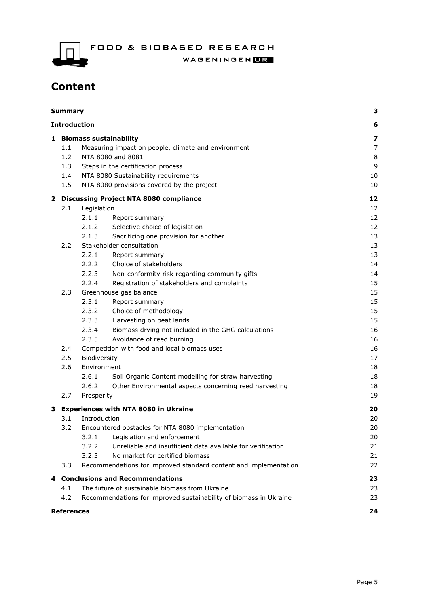WAGENINGENLE

# **Content**

| Summary |                                             |                                                                      | З                                         |
|---------|---------------------------------------------|----------------------------------------------------------------------|-------------------------------------------|
|         |                                             | <b>Introduction</b>                                                  | 6                                         |
|         | 1 Biomass sustainability                    |                                                                      |                                           |
|         | 1.1                                         | Measuring impact on people, climate and environment                  | $\overline{\mathbf{z}}$<br>$\overline{7}$ |
|         | 1.2                                         | NTA 8080 and 8081                                                    |                                           |
|         | 1.3                                         | Steps in the certification process                                   |                                           |
|         | 1.4                                         | NTA 8080 Sustainability requirements                                 | 10                                        |
|         | 1.5                                         | NTA 8080 provisions covered by the project                           |                                           |
|         | 2 Discussing Project NTA 8080 compliance    |                                                                      |                                           |
|         | 2.1                                         | Legislation                                                          | 12                                        |
|         |                                             | 2.1.1<br>Report summary                                              | 12                                        |
|         |                                             | 2.1.2<br>Selective choice of legislation                             | 12                                        |
|         |                                             | Sacrificing one provision for another<br>2.1.3                       | 13                                        |
|         | 2.2                                         | Stakeholder consultation                                             | 13                                        |
|         |                                             | 2.2.1<br>Report summary                                              | 13                                        |
|         |                                             | 2.2.2<br>Choice of stakeholders                                      | 14                                        |
|         |                                             | 2.2.3<br>Non-conformity risk regarding community gifts               | 14                                        |
|         |                                             | 2.2.4<br>Registration of stakeholders and complaints                 | 15                                        |
|         | 2.3                                         | Greenhouse gas balance                                               | 15                                        |
|         |                                             | 2.3.1<br>Report summary                                              | 15                                        |
|         |                                             | 2.3.2<br>Choice of methodology                                       | 15                                        |
|         |                                             | 2.3.3<br>Harvesting on peat lands                                    | 15                                        |
|         |                                             | 2.3.4<br>Biomass drying not included in the GHG calculations         | 16                                        |
|         |                                             | Avoidance of reed burning<br>2.3.5                                   | 16                                        |
|         | 2.4                                         | Competition with food and local biomass uses                         |                                           |
|         | 2.5                                         | Biodiversity                                                         |                                           |
|         | 2.6                                         | Environment                                                          |                                           |
|         |                                             | 2.6.1<br>Soil Organic Content modelling for straw harvesting         | 18                                        |
|         |                                             | 2.6.2<br>Other Environmental aspects concerning reed harvesting      | 18                                        |
|         | 2.7                                         | Prosperity                                                           | 19                                        |
| з       | <b>Experiences with NTA 8080 in Ukraine</b> |                                                                      |                                           |
|         | 3.1                                         | Introduction                                                         | 20                                        |
|         | 3.2                                         | Encountered obstacles for NTA 8080 implementation                    | 20                                        |
|         |                                             | 3.2.1<br>Legislation and enforcement                                 | 20                                        |
|         |                                             | Unreliable and insufficient data available for verification<br>3.2.2 | 21                                        |
|         |                                             | 3.2.3<br>No market for certified biomass                             | 21                                        |
|         | 3.3                                         | Recommendations for improved standard content and implementation     | 22                                        |
| 4       | <b>Conclusions and Recommendations</b>      |                                                                      |                                           |
|         | 4.1                                         | The future of sustainable biomass from Ukraine                       | 23                                        |
|         | 4.2                                         | Recommendations for improved sustainability of biomass in Ukraine    | 23                                        |
|         | <b>References</b>                           |                                                                      | 24                                        |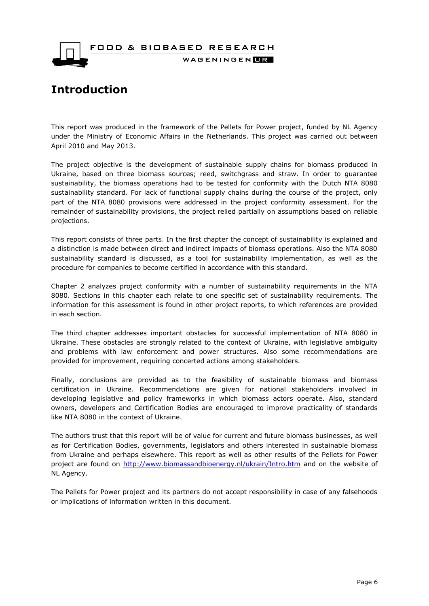

WAGENINGEN**HR** 

# <span id="page-5-0"></span>**Introduction**

This report was produced in the framework of the Pellets for Power project, funded by NL Agency under the Ministry of Economic Affairs in the Netherlands. This project was carried out between April 2010 and May 2013.

The project objective is the development of sustainable supply chains for biomass produced in Ukraine, based on three biomass sources; reed, switchgrass and straw. In order to guarantee sustainability, the biomass operations had to be tested for conformity with the Dutch NTA 8080 sustainability standard. For lack of functional supply chains during the course of the project, only part of the NTA 8080 provisions were addressed in the project conformity assessment. For the remainder of sustainability provisions, the project relied partially on assumptions based on reliable projections.

This report consists of three parts. In the first chapter the concept of sustainability is explained and a distinction is made between direct and indirect impacts of biomass operations. Also the NTA 8080 sustainability standard is discussed, as a tool for sustainability implementation, as well as the procedure for companies to become certified in accordance with this standard.

Chapter 2 analyzes project conformity with a number of sustainability requirements in the NTA 8080. Sections in this chapter each relate to one specific set of sustainability requirements. The information for this assessment is found in other project reports, to which references are provided in each section.

The third chapter addresses important obstacles for successful implementation of NTA 8080 in Ukraine. These obstacles are strongly related to the context of Ukraine, with legislative ambiguity and problems with law enforcement and power structures. Also some recommendations are provided for improvement, requiring concerted actions among stakeholders.

Finally, conclusions are provided as to the feasibility of sustainable biomass and biomass certification in Ukraine. Recommendations are given for national stakeholders involved in developing legislative and policy frameworks in which biomass actors operate. Also, standard owners, developers and Certification Bodies are encouraged to improve practicality of standards like NTA 8080 in the context of Ukraine.

The authors trust that this report will be of value for current and future biomass businesses, as well as for Certification Bodies, governments, legislators and others interested in sustainable biomass from Ukraine and perhaps elsewhere. This report as well as other results of the Pellets for Power project are found on<http://www.biomassandbioenergy.nl/ukrain/Intro.htm> and on the website of NL Agency.

The Pellets for Power project and its partners do not accept responsibility in case of any falsehoods or implications of information written in this document.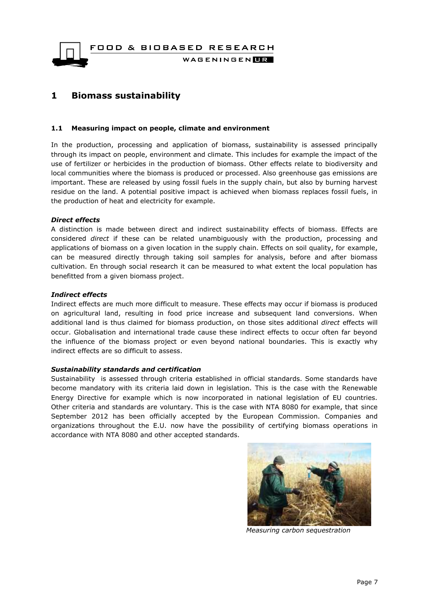FOOD & BIOBASED RESEARCH WAGENINGEN**HR** 

### <span id="page-6-0"></span>**1 Biomass sustainability**

#### <span id="page-6-1"></span>**1.1 Measuring impact on people, climate and environment**

In the production, processing and application of biomass, sustainability is assessed principally through its impact on people, environment and climate. This includes for example the impact of the use of fertilizer or herbicides in the production of biomass. Other effects relate to biodiversity and local communities where the biomass is produced or processed. Also greenhouse gas emissions are important. These are released by using fossil fuels in the supply chain, but also by burning harvest residue on the land. A potential positive impact is achieved when biomass replaces fossil fuels, in the production of heat and electricity for example.

#### *Direct effects*

A distinction is made between direct and indirect sustainability effects of biomass. Effects are considered *direct* if these can be related unambiguously with the production, processing and applications of biomass on a given location in the supply chain. Effects on soil quality, for example, can be measured directly through taking soil samples for analysis, before and after biomass cultivation. En through social research it can be measured to what extent the local population has benefitted from a given biomass project.

#### *Indirect effects*

Indirect effects are much more difficult to measure. These effects may occur if biomass is produced on agricultural land, resulting in food price increase and subsequent land conversions. When additional land is thus claimed for biomass production, on those sites additional *direct* effects will occur. Globalisation and international trade cause these indirect effects to occur often far beyond the influence of the biomass project or even beyond national boundaries. This is exactly why indirect effects are so difficult to assess.

#### *Sustainability standards and certification*

Sustainability is assessed through criteria established in official standards. Some standards have become mandatory with its criteria laid down in legislation. This is the case with the Renewable Energy Directive for example which is now incorporated in national legislation of EU countries. Other criteria and standards are voluntary. This is the case with NTA 8080 for example, that since September 2012 has been officially accepted by the European Commission. Companies and organizations throughout the E.U. now have the possibility of certifying biomass operations in accordance with NTA 8080 and other accepted standards.



 *Measuring carbon sequestration*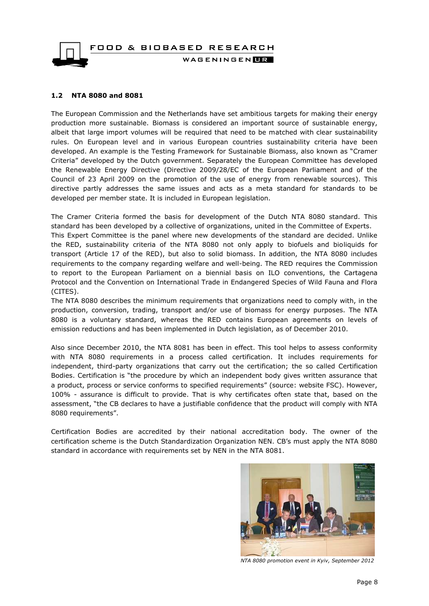

#### <span id="page-7-0"></span>**1.2 NTA 8080 and 8081**

The European Commission and the Netherlands have set ambitious targets for making their energy production more sustainable. Biomass is considered an important source of sustainable energy, albeit that large import volumes will be required that need to be matched with clear sustainability rules. On European level and in various European countries sustainability criteria have been developed. An example is the Testing Framework for Sustainable Biomass, also known as "Cramer Criteria" developed by the Dutch government. Separately the European Committee has developed the Renewable Energy Directive (Directive 2009/28/EC of the European Parliament and of the Council of 23 April 2009 on the promotion of the use of energy from renewable sources). This directive partly addresses the same issues and acts as a meta standard for standards to be developed per member state. It is included in European legislation.

The Cramer Criteria formed the basis for development of the Dutch NTA 8080 standard. This standard has been developed by a collective of organizations, united in the Committee of Experts. This Expert Committee is the panel where new developments of the standard are decided. Unlike the RED, sustainability criteria of the NTA 8080 not only apply to biofuels and bioliquids for transport (Article 17 of the RED), but also to solid biomass. In addition, the NTA 8080 includes requirements to the company regarding welfare and well-being. The RED requires the Commission to report to the European Parliament on a biennial basis on ILO conventions, the Cartagena Protocol and the Convention on International Trade in Endangered Species of Wild Fauna and Flora (CITES).

The NTA 8080 describes the minimum requirements that organizations need to comply with, in the production, conversion, trading, transport and/or use of biomass for energy purposes. The NTA 8080 is a voluntary standard, whereas the RED contains European agreements on levels of emission reductions and has been implemented in Dutch legislation, as of December 2010.

Also since December 2010, the NTA 8081 has been in effect. This tool helps to assess conformity with NTA 8080 requirements in a process called certification. It includes requirements for independent, third-party organizations that carry out the certification; the so called Certification Bodies. Certification is "the procedure by which an independent body gives written assurance that a product, process or service conforms to specified requirements" (source: website FSC). However, 100% - assurance is difficult to provide. That is why certificates often state that, based on the assessment, "the CB declares to have a justifiable confidence that the product will comply with NTA 8080 requirements".

Certification Bodies are accredited by their national accreditation body. The owner of the certification scheme is the Dutch Standardization Organization NEN. CB's must apply the NTA 8080 standard in accordance with requirements set by NEN in the NTA 8081.



*NTA 8080 promotion event in Kyiv, September 2012*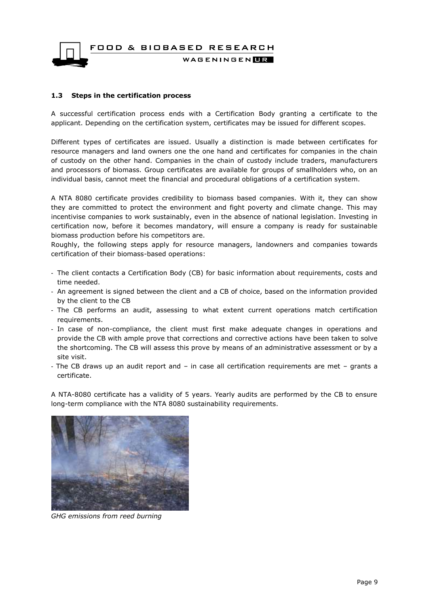#### WAGENINGEN**HR**

#### <span id="page-8-0"></span>**1.3 Steps in the certification process**

A successful certification process ends with a Certification Body granting a certificate to the applicant. Depending on the certification system, certificates may be issued for different scopes.

Different types of certificates are issued. Usually a distinction is made between certificates for resource managers and land owners one the one hand and certificates for companies in the chain of custody on the other hand. Companies in the chain of custody include traders, manufacturers and processors of biomass. Group certificates are available for groups of smallholders who, on an individual basis, cannot meet the financial and procedural obligations of a certification system.

A NTA 8080 certificate provides credibility to biomass based companies. With it, they can show they are committed to protect the environment and fight poverty and climate change. This may incentivise companies to work sustainably, even in the absence of national legislation. Investing in certification now, before it becomes mandatory, will ensure a company is ready for sustainable biomass production before his competitors are.

Roughly, the following steps apply for resource managers, landowners and companies towards certification of their biomass-based operations:

- The client contacts a Certification Body (CB) for basic information about requirements, costs and time needed.
- An agreement is signed between the client and a CB of choice, based on the information provided by the client to the CB
- The CB performs an audit, assessing to what extent current operations match certification requirements.
- In case of non-compliance, the client must first make adequate changes in operations and provide the CB with ample prove that corrections and corrective actions have been taken to solve the shortcoming. The CB will assess this prove by means of an administrative assessment or by a site visit.
- The CB draws up an audit report and in case all certification requirements are met grants a certificate.

A NTA-8080 certificate has a validity of 5 years. Yearly audits are performed by the CB to ensure long-term compliance with the NTA 8080 sustainability requirements.



*GHG emissions from reed burning*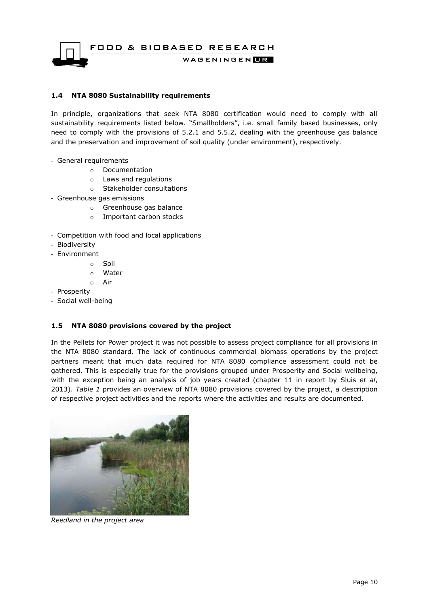WAGENINGENLIR

#### <span id="page-9-0"></span>**1.4 NTA 8080 Sustainability requirements**

In principle, organizations that seek NTA 8080 certification would need to comply with all sustainability requirements listed below. "Smallholders", i.e. small family based businesses, only need to comply with the provisions of 5.2.1 and 5.5.2, dealing with the greenhouse gas balance and the preservation and improvement of soil quality (under environment), respectively.

- General requirements
	- o Documentation
	- o Laws and regulations
	- o Stakeholder consultations
- Greenhouse gas emissions
	- o Greenhouse gas balance
	- o Important carbon stocks
- Competition with food and local applications
- Biodiversity
- Environment
	- o Soil
	- o Water
	- o Air
- Prosperity
- Social well-being

#### <span id="page-9-1"></span>**1.5 NTA 8080 provisions covered by the project**

In the Pellets for Power project it was not possible to assess project compliance for all provisions in the NTA 8080 standard. The lack of continuous commercial biomass operations by the project partners meant that much data required for NTA 8080 compliance assessment could not be gathered. This is especially true for the provisions grouped under Prosperity and Social wellbeing, with the exception being an analysis of job years created (chapter 11 in report by Sluis *et al*, 2013). *Table 1* provides an overview of NTA 8080 provisions covered by the project, a description of respective project activities and the reports where the activities and results are documented.



*Reedland in the project area*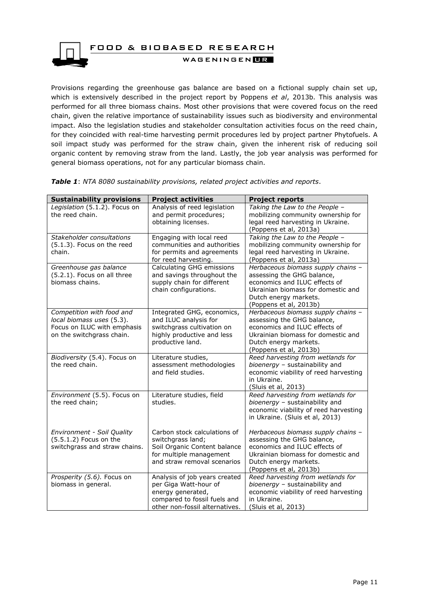

Provisions regarding the greenhouse gas balance are based on a fictional supply chain set up, which is extensively described in the project report by Poppens *et al*, 2013b. This analysis was performed for all three biomass chains. Most other provisions that were covered focus on the reed chain, given the relative importance of sustainability issues such as biodiversity and environmental impact. Also the legislation studies and stakeholder consultation activities focus on the reed chain, for they coincided with real-time harvesting permit procedures led by project partner Phytofuels. A soil impact study was performed for the straw chain, given the inherent risk of reducing soil organic content by removing straw from the land. Lastly, the job year analysis was performed for general biomass operations, not for any particular biomass chain.

| <b>Sustainability provisions</b>                                                                                   | <b>Project activities</b>                                                                                                                     | <b>Project reports</b>                                                                                                                                                                     |
|--------------------------------------------------------------------------------------------------------------------|-----------------------------------------------------------------------------------------------------------------------------------------------|--------------------------------------------------------------------------------------------------------------------------------------------------------------------------------------------|
| Legislation (5.1.2). Focus on<br>the reed chain.                                                                   | Analysis of reed legislation<br>and permit procedures;<br>obtaining licenses.                                                                 | Taking the Law to the People -<br>mobilizing community ownership for<br>legal reed harvesting in Ukraine.<br>(Poppens et al, 2013a)                                                        |
| Stakeholder consultations<br>(5.1.3). Focus on the reed<br>chain.                                                  | Engaging with local reed<br>communities and authorities<br>for permits and agreements<br>for reed harvesting.                                 | Taking the Law to the People -<br>mobilizing community ownership for<br>legal reed harvesting in Ukraine.<br>(Poppens et al, 2013a)                                                        |
| Greenhouse gas balance<br>(5.2.1). Focus on all three<br>biomass chains.                                           | Calculating GHG emissions<br>and savings throughout the<br>supply chain for different<br>chain configurations.                                | Herbaceous biomass supply chains -<br>assessing the GHG balance,<br>economics and ILUC effects of<br>Ukrainian biomass for domestic and<br>Dutch energy markets.<br>(Poppens et al, 2013b) |
| Competition with food and<br>local biomass uses (5.3).<br>Focus on ILUC with emphasis<br>on the switchgrass chain. | Integrated GHG, economics,<br>and ILUC analysis for<br>switchgrass cultivation on<br>highly productive and less<br>productive land.           | Herbaceous biomass supply chains -<br>assessing the GHG balance,<br>economics and ILUC effects of<br>Ukrainian biomass for domestic and<br>Dutch energy markets.<br>(Poppens et al, 2013b) |
| Biodiversity (5.4). Focus on<br>the reed chain.                                                                    | Literature studies,<br>assessment methodologies<br>and field studies.                                                                         | Reed harvesting from wetlands for<br>bioenergy - sustainability and<br>economic viability of reed harvesting<br>in Ukraine.<br>(Sluis et al, 2013)                                         |
| Environment (5.5). Focus on<br>the reed chain;                                                                     | Literature studies, field<br>studies.                                                                                                         | Reed harvesting from wetlands for<br>bioenergy - sustainability and<br>economic viability of reed harvesting<br>in Ukraine. (Sluis et al, 2013)                                            |
| Environment - Soil Quality<br>(5.5.1.2) Focus on the<br>switchgrass and straw chains.                              | Carbon stock calculations of<br>switchgrass land;<br>Soil Organic Content balance<br>for multiple management<br>and straw removal scenarios   | Herbaceous biomass supply chains -<br>assessing the GHG balance,<br>economics and ILUC effects of<br>Ukrainian biomass for domestic and<br>Dutch energy markets.<br>(Poppens et al, 2013b) |
| Prosperity (5.6). Focus on<br>biomass in general.                                                                  | Analysis of job years created<br>per Giga Watt-hour of<br>energy generated,<br>compared to fossil fuels and<br>other non-fossil alternatives. | Reed harvesting from wetlands for<br>bioenergy - sustainability and<br>economic viability of reed harvesting<br>in Ukraine.<br>(Sluis et al, 2013)                                         |

*Table 1*: *NTA 8080 sustainability provisions, related project activities and reports*.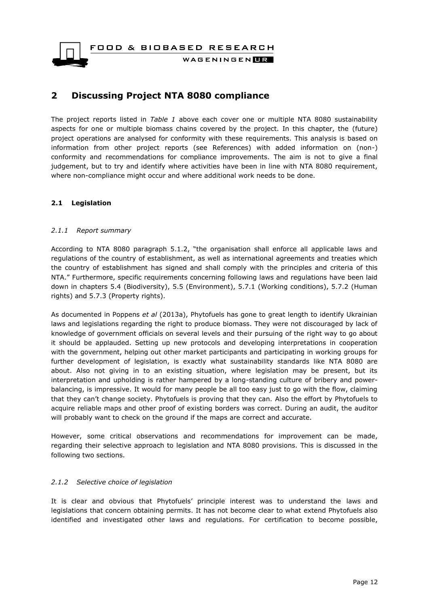WAGENINGEN**DR** 

### <span id="page-11-0"></span>**2 Discussing Project NTA 8080 compliance**

The project reports listed in *Table 1* above each cover one or multiple NTA 8080 sustainability aspects for one or multiple biomass chains covered by the project. In this chapter, the (future) project operations are analysed for conformity with these requirements. This analysis is based on information from other project reports (see References) with added information on (non-) conformity and recommendations for compliance improvements. The aim is not to give a final judgement, but to try and identify where activities have been in line with NTA 8080 requirement, where non-compliance might occur and where additional work needs to be done.

#### <span id="page-11-1"></span>**2.1 Legislation**

#### <span id="page-11-2"></span>*2.1.1 Report summary*

According to NTA 8080 paragraph 5.1.2, "the organisation shall enforce all applicable laws and regulations of the country of establishment, as well as international agreements and treaties which the country of establishment has signed and shall comply with the principles and criteria of this NTA." Furthermore, specific requirements concerning following laws and regulations have been laid down in chapters 5.4 (Biodiversity), 5.5 (Environment), 5.7.1 (Working conditions), 5.7.2 (Human rights) and 5.7.3 (Property rights).

As documented in Poppens *et al* (2013a), Phytofuels has gone to great length to identify Ukrainian laws and legislations regarding the right to produce biomass. They were not discouraged by lack of knowledge of government officials on several levels and their pursuing of the right way to go about it should be applauded. Setting up new protocols and developing interpretations in cooperation with the government, helping out other market participants and participating in working groups for further development of legislation, is exactly what sustainability standards like NTA 8080 are about. Also not giving in to an existing situation, where legislation may be present, but its interpretation and upholding is rather hampered by a long-standing culture of bribery and powerbalancing, is impressive. It would for many people be all too easy just to go with the flow, claiming that they can't change society. Phytofuels is proving that they can. Also the effort by Phytofuels to acquire reliable maps and other proof of existing borders was correct. During an audit, the auditor will probably want to check on the ground if the maps are correct and accurate.

However, some critical observations and recommendations for improvement can be made, regarding their selective approach to legislation and NTA 8080 provisions. This is discussed in the following two sections.

#### <span id="page-11-3"></span>*2.1.2 Selective choice of legislation*

It is clear and obvious that Phytofuels' principle interest was to understand the laws and legislations that concern obtaining permits. It has not become clear to what extend Phytofuels also identified and investigated other laws and regulations. For certification to become possible,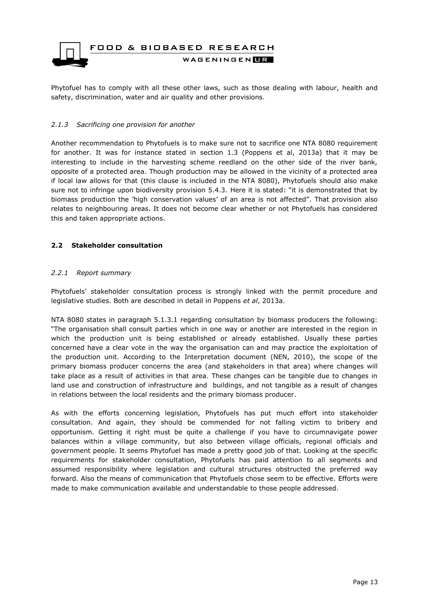

Phytofuel has to comply with all these other laws, such as those dealing with labour, health and safety, discrimination, water and air quality and other provisions.

#### <span id="page-12-0"></span>*2.1.3 Sacrificing one provision for another*

Another recommendation to Phytofuels is to make sure not to sacrifice one NTA 8080 requirement for another. It was for instance stated in section 1.3 (Poppens et al, 2013a) that it may be interesting to include in the harvesting scheme reedland on the other side of the river bank, opposite of a protected area. Though production may be allowed in the vicinity of a protected area if local law allows for that (this clause is included in the NTA 8080), Phytofuels should also make sure not to infringe upon biodiversity provision 5.4.3. Here it is stated: "it is demonstrated that by biomass production the 'high conservation values' of an area is not affected". That provision also relates to neighbouring areas. It does not become clear whether or not Phytofuels has considered this and taken appropriate actions.

#### <span id="page-12-1"></span>**2.2 Stakeholder consultation**

#### <span id="page-12-2"></span>*2.2.1 Report summary*

Phytofuels' stakeholder consultation process is strongly linked with the permit procedure and legislative studies. Both are described in detail in Poppens *et al*, 2013a.

NTA 8080 states in paragraph 5.1.3.1 regarding consultation by biomass producers the following: "The organisation shall consult parties which in one way or another are interested in the region in which the production unit is being established or already established. Usually these parties concerned have a clear vote in the way the organisation can and may practice the exploitation of the production unit. According to the Interpretation document (NEN, 2010), the scope of the primary biomass producer concerns the area (and stakeholders in that area) where changes will take place as a result of activities in that area. These changes can be tangible due to changes in land use and construction of infrastructure and buildings, and not tangible as a result of changes in relations between the local residents and the primary biomass producer.

As with the efforts concerning legislation, Phytofuels has put much effort into stakeholder consultation. And again, they should be commended for not falling victim to bribery and opportunism. Getting it right must be quite a challenge if you have to circumnavigate power balances within a village community, but also between village officials, regional officials and government people. It seems Phytofuel has made a pretty good job of that. Looking at the specific requirements for stakeholder consultation, Phytofuels has paid attention to all segments and assumed responsibility where legislation and cultural structures obstructed the preferred way forward. Also the means of communication that Phytofuels chose seem to be effective. Efforts were made to make communication available and understandable to those people addressed.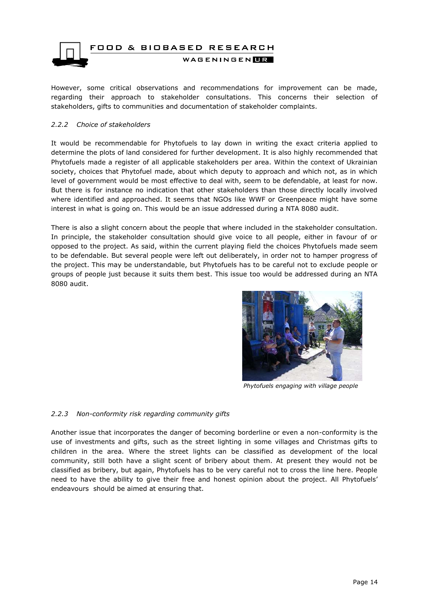

However, some critical observations and recommendations for improvement can be made, regarding their approach to stakeholder consultations. This concerns their selection of stakeholders, gifts to communities and documentation of stakeholder complaints.

#### <span id="page-13-0"></span>*2.2.2 Choice of stakeholders*

It would be recommendable for Phytofuels to lay down in writing the exact criteria applied to determine the plots of land considered for further development. It is also highly recommended that Phytofuels made a register of all applicable stakeholders per area. Within the context of Ukrainian society, choices that Phytofuel made, about which deputy to approach and which not, as in which level of government would be most effective to deal with, seem to be defendable, at least for now. But there is for instance no indication that other stakeholders than those directly locally involved where identified and approached. It seems that NGOs like WWF or Greenpeace might have some interest in what is going on. This would be an issue addressed during a NTA 8080 audit.

There is also a slight concern about the people that where included in the stakeholder consultation. In principle, the stakeholder consultation should give voice to all people, either in favour of or opposed to the project. As said, within the current playing field the choices Phytofuels made seem to be defendable. But several people were left out deliberately, in order not to hamper progress of the project. This may be understandable, but Phytofuels has to be careful not to exclude people or groups of people just because it suits them best. This issue too would be addressed during an NTA 8080 audit.



*Phytofuels engaging with village people*

#### <span id="page-13-1"></span>*2.2.3 Non-conformity risk regarding community gifts*

Another issue that incorporates the danger of becoming borderline or even a non-conformity is the use of investments and gifts, such as the street lighting in some villages and Christmas gifts to children in the area. Where the street lights can be classified as development of the local community, still both have a slight scent of bribery about them. At present they would not be classified as bribery, but again, Phytofuels has to be very careful not to cross the line here. People need to have the ability to give their free and honest opinion about the project. All Phytofuels' endeavours should be aimed at ensuring that.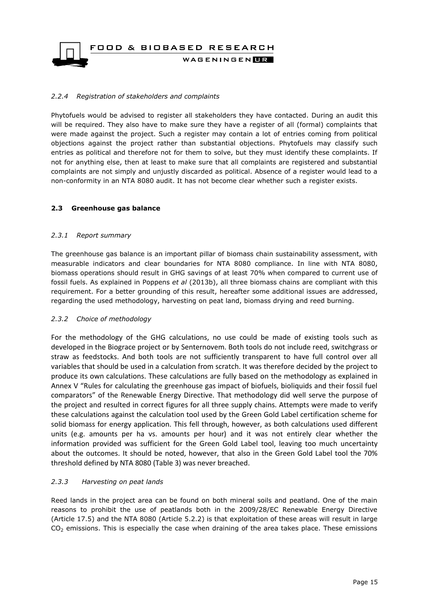FOOD & BIOBASED RESEARCH WAGENINGENLR

#### <span id="page-14-0"></span>*2.2.4 Registration of stakeholders and complaints*

Phytofuels would be advised to register all stakeholders they have contacted. During an audit this will be required. They also have to make sure they have a register of all (formal) complaints that were made against the project. Such a register may contain a lot of entries coming from political objections against the project rather than substantial objections. Phytofuels may classify such entries as political and therefore not for them to solve, but they must identify these complaints. If not for anything else, then at least to make sure that all complaints are registered and substantial complaints are not simply and unjustly discarded as political. Absence of a register would lead to a non-conformity in an NTA 8080 audit. It has not become clear whether such a register exists.

#### <span id="page-14-1"></span>**2.3 Greenhouse gas balance**

#### <span id="page-14-2"></span>*2.3.1 Report summary*

The greenhouse gas balance is an important pillar of biomass chain sustainability assessment, with measurable indicators and clear boundaries for NTA 8080 compliance. In line with NTA 8080, biomass operations should result in GHG savings of at least 70% when compared to current use of fossil fuels. As explained in Poppens *et al* (2013b), all three biomass chains are compliant with this requirement. For a better grounding of this result, hereafter some additional issues are addressed, regarding the used methodology, harvesting on peat land, biomass drying and reed burning.

#### <span id="page-14-3"></span>*2.3.2 Choice of methodology*

For the methodology of the GHG calculations, no use could be made of existing tools such as developed in the Biograce project or by Senternovem. Both tools do not include reed, switchgrass or straw as feedstocks. And both tools are not sufficiently transparent to have full control over all variables that should be used in a calculation from scratch. It was therefore decided by the project to produce its own calculations. These calculations are fully based on the methodology as explained in Annex V "Rules for calculating the greenhouse gas impact of biofuels, bioliquids and their fossil fuel comparators" of the Renewable Energy Directive. That methodology did well serve the purpose of the project and resulted in correct figures for all three supply chains. Attempts were made to verify these calculations against the calculation tool used by the Green Gold Label certification scheme for solid biomass for energy application. This fell through, however, as both calculations used different units (e.g. amounts per ha vs. amounts per hour) and it was not entirely clear whether the information provided was sufficient for the Green Gold Label tool, leaving too much uncertainty about the outcomes. It should be noted, however, that also in the Green Gold Label tool the 70% threshold defined by NTA 8080 (Table 3) was never breached.

#### <span id="page-14-4"></span>*2.3.3 Harvesting on peat lands*

Reed lands in the project area can be found on both mineral soils and peatland. One of the main reasons to prohibit the use of peatlands both in the 2009/28/EC Renewable Energy Directive (Article 17.5) and the NTA 8080 (Article 5.2.2) is that exploitation of these areas will result in large  $CO<sub>2</sub>$  emissions. This is especially the case when draining of the area takes place. These emissions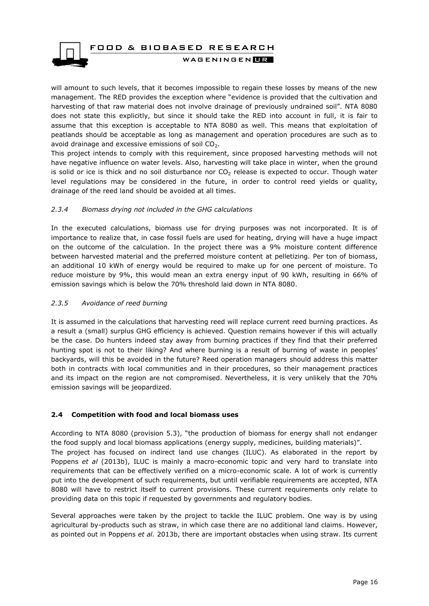

will amount to such levels, that it becomes impossible to regain these losses by means of the new management. The RED provides the exception where "evidence is provided that the cultivation and harvesting of that raw material does not involve drainage of previously undrained soil". NTA 8080 does not state this explicitly, but since it should take the RED into account in full, it is fair to assume that this exception is acceptable to NTA 8080 as well. This means that exploitation of peatlands should be acceptable as long as management and operation procedures are such as to avoid drainage and excessive emissions of soil  $CO<sub>2</sub>$ .

This project intends to comply with this requirement, since proposed harvesting methods will not have negative influence on water levels. Also, harvesting will take place in winter, when the ground is solid or ice is thick and no soil disturbance nor  $CO<sub>2</sub>$  release is expected to occur. Though water level regulations may be considered in the future, in order to control reed yields or quality, drainage of the reed land should be avoided at all times.

#### <span id="page-15-0"></span>*2.3.4 Biomass drying not included in the GHG calculations*

In the executed calculations, biomass use for drying purposes was not incorporated. It is of importance to realize that, in case fossil fuels are used for heating, drying will have a huge impact on the outcome of the calculation. In the project there was a 9% moisture content difference between harvested material and the preferred moisture content at pelletizing. Per ton of biomass, an additional 10 kWh of energy would be required to make up for one percent of moisture. To reduce moisture by 9%, this would mean an extra energy input of 90 kWh, resulting in 66% of emission savings which is below the 70% threshold laid down in NTA 8080.

#### <span id="page-15-1"></span>*2.3.5 Avoidance of reed burning*

It is assumed in the calculations that harvesting reed will replace current reed burning practices. As a result a (small) surplus GHG efficiency is achieved. Question remains however if this will actually be the case. Do hunters indeed stay away from burning practices if they find that their preferred hunting spot is not to their liking? And where burning is a result of burning of waste in peoples' backyards, will this be avoided in the future? Reed operation managers should address this matter both in contracts with local communities and in their procedures, so their management practices and its impact on the region are not compromised. Nevertheless, it is very unlikely that the 70% emission savings will be jeopardized.

#### <span id="page-15-2"></span>**2.4 Competition with food and local biomass uses**

According to NTA 8080 (provision 5.3), "the production of biomass for energy shall not endanger the food supply and local biomass applications (energy supply, medicines, building materials)". The project has focused on indirect land use changes (ILUC). As elaborated in the report by Poppens *et al* (2013b), ILUC is mainly a macro-economic topic and very hard to translate into requirements that can be effectively verified on a micro-economic scale. A lot of work is currently put into the development of such requirements, but until verifiable requirements are accepted, NTA 8080 will have to restrict itself to current provisions. These current requirements only relate to providing data on this topic if requested by governments and regulatory bodies.

Several approaches were taken by the project to tackle the ILUC problem. One way is by using agricultural by-products such as straw, in which case there are no additional land claims. However, as pointed out in Poppens *et al.* 2013b, there are important obstacles when using straw. Its current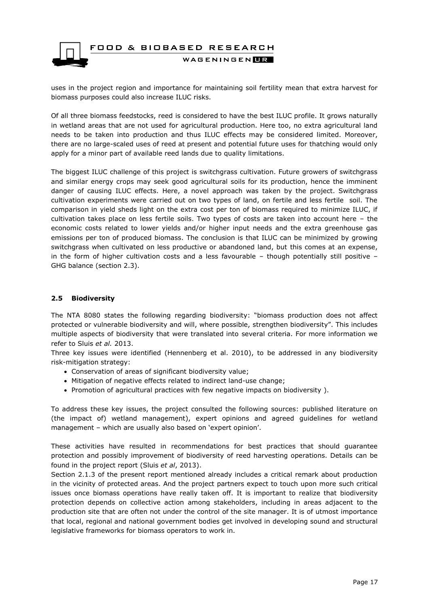

uses in the project region and importance for maintaining soil fertility mean that extra harvest for biomass purposes could also increase ILUC risks.

Of all three biomass feedstocks, reed is considered to have the best ILUC profile. It grows naturally in wetland areas that are not used for agricultural production. Here too, no extra agricultural land needs to be taken into production and thus ILUC effects may be considered limited. Moreover, there are no large-scaled uses of reed at present and potential future uses for thatching would only apply for a minor part of available reed lands due to quality limitations.

The biggest ILUC challenge of this project is switchgrass cultivation. Future growers of switchgrass and similar energy crops may seek good agricultural soils for its production, hence the imminent danger of causing ILUC effects. Here, a novel approach was taken by the project. Switchgrass cultivation experiments were carried out on two types of land, on fertile and less fertile soil. The comparison in yield sheds light on the extra cost per ton of biomass required to minimize ILUC, if cultivation takes place on less fertile soils. Two types of costs are taken into account here – the economic costs related to lower yields and/or higher input needs and the extra greenhouse gas emissions per ton of produced biomass. The conclusion is that ILUC can be minimized by growing switchgrass when cultivated on less productive or abandoned land, but this comes at an expense, in the form of higher cultivation costs and a less favourable  $-$  though potentially still positive  $-$ GHG balance (section 2.3).

#### <span id="page-16-0"></span>**2.5 Biodiversity**

The NTA 8080 states the following regarding biodiversity: "biomass production does not affect protected or vulnerable biodiversity and will, where possible, strengthen biodiversity". This includes multiple aspects of biodiversity that were translated into several criteria. For more information we refer to Sluis *et al.* 2013.

Three key issues were identified (Hennenberg et al. 2010), to be addressed in any biodiversity risk-mitigation strategy:

- Conservation of areas of significant biodiversity value;
- Mitigation of negative effects related to indirect land-use change;
- Promotion of agricultural practices with few negative impacts on biodiversity).

To address these key issues, the project consulted the following sources: published literature on (the impact of) wetland management), expert opinions and agreed guidelines for wetland management – which are usually also based on 'expert opinion'.

These activities have resulted in recommendations for best practices that should guarantee protection and possibly improvement of biodiversity of reed harvesting operations. Details can be found in the project report (Sluis *et al*, 2013).

Section 2.1.3 of the present report mentioned already includes a critical remark about production in the vicinity of protected areas. And the project partners expect to touch upon more such critical issues once biomass operations have really taken off. It is important to realize that biodiversity protection depends on collective action among stakeholders, including in areas adjacent to the production site that are often not under the control of the site manager. It is of utmost importance that local, regional and national government bodies get involved in developing sound and structural legislative frameworks for biomass operators to work in.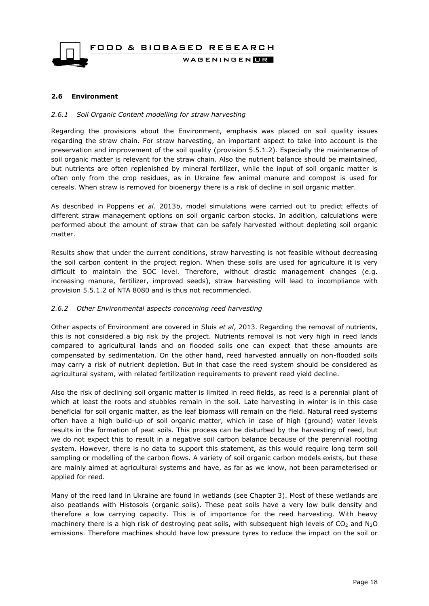

#### <span id="page-17-1"></span><span id="page-17-0"></span>**2.6 Environment**

#### *2.6.1 Soil Organic Content modelling for straw harvesting*

Regarding the provisions about the Environment, emphasis was placed on soil quality issues regarding the straw chain. For straw harvesting, an important aspect to take into account is the preservation and improvement of the soil quality (provision 5.5.1.2). Especially the maintenance of soil organic matter is relevant for the straw chain. Also the nutrient balance should be maintained, but nutrients are often replenished by mineral fertilizer, while the input of soil organic matter is often only from the crop residues, as in Ukraine few animal manure and compost is used for cereals. When straw is removed for bioenergy there is a risk of decline in soil organic matter.

As described in Poppens *et al*. 2013b, model simulations were carried out to predict effects of different straw management options on soil organic carbon stocks. In addition, calculations were performed about the amount of straw that can be safely harvested without depleting soil organic matter.

Results show that under the current conditions, straw harvesting is not feasible without decreasing the soil carbon content in the project region. When these soils are used for agriculture it is very difficult to maintain the SOC level. Therefore, without drastic management changes (e.g. increasing manure, fertilizer, improved seeds), straw harvesting will lead to incompliance with provision 5.5.1.2 of NTA 8080 and is thus not recommended.

#### <span id="page-17-2"></span>*2.6.2 Other Environmental aspects concerning reed harvesting*

Other aspects of Environment are covered in Sluis *et al*, 2013. Regarding the removal of nutrients, this is not considered a big risk by the project. Nutrients removal is not very high in reed lands compared to agricultural lands and on flooded soils one can expect that these amounts are compensated by sedimentation. On the other hand, reed harvested annually on non-flooded soils may carry a risk of nutrient depletion. But in that case the reed system should be considered as agricultural system, with related fertilization requirements to prevent reed yield decline.

Also the risk of declining soil organic matter is limited in reed fields, as reed is a perennial plant of which at least the roots and stubbles remain in the soil. Late harvesting in winter is in this case beneficial for soil organic matter, as the leaf biomass will remain on the field. Natural reed systems often have a high build-up of soil organic matter, which in case of high (ground) water levels results in the formation of peat soils. This process can be disturbed by the harvesting of reed, but we do not expect this to result in a negative soil carbon balance because of the perennial rooting system. However, there is no data to support this statement, as this would require long term soil sampling or modelling of the carbon flows. A variety of soil organic carbon models exists, but these are mainly aimed at agricultural systems and have, as far as we know, not been parameterised or applied for reed.

Many of the reed land in Ukraine are found in wetlands (see Chapter 3). Most of these wetlands are also peatlands with Histosols (organic soils). These peat soils have a very low bulk density and therefore a low carrying capacity. This is of importance for the reed harvesting. With heavy machinery there is a high risk of destroying peat soils, with subsequent high levels of  $CO<sub>2</sub>$  and N<sub>2</sub>O emissions. Therefore machines should have low pressure tyres to reduce the impact on the soil or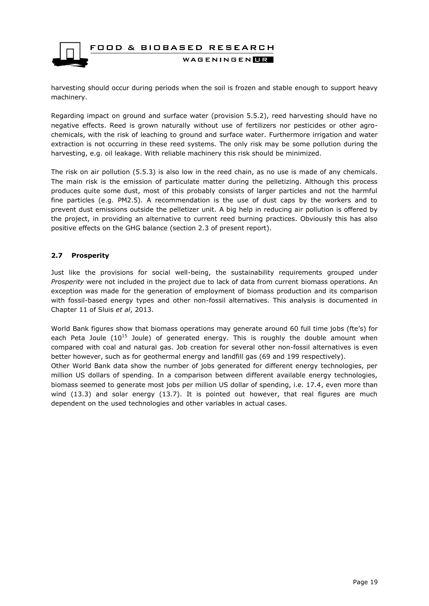

harvesting should occur during periods when the soil is frozen and stable enough to support heavy machinery.

Regarding impact on ground and surface water (provision 5.5.2), reed harvesting should have no negative effects. Reed is grown naturally without use of fertilizers nor pesticides or other agrochemicals, with the risk of leaching to ground and surface water. Furthermore irrigation and water extraction is not occurring in these reed systems. The only risk may be some pollution during the harvesting, e.g. oil leakage. With reliable machinery this risk should be minimized.

The risk on air pollution (5.5.3) is also low in the reed chain, as no use is made of any chemicals. The main risk is the emission of particulate matter during the pelletizing. Although this process produces quite some dust, most of this probably consists of larger particles and not the harmful fine particles (e.g. PM2.5). A recommendation is the use of dust caps by the workers and to prevent dust emissions outside the pelletizer unit. A big help in reducing air pollution is offered by the project, in providing an alternative to current reed burning practices. Obviously this has also positive effects on the GHG balance (section 2.3 of present report).

#### <span id="page-18-0"></span>**2.7 Prosperity**

Just like the provisions for social well-being, the sustainability requirements grouped under *Prosperity* were not included in the project due to lack of data from current biomass operations. An exception was made for the generation of employment of biomass production and its comparison with fossil-based energy types and other non-fossil alternatives. This analysis is documented in Chapter 11 of Sluis *et al*, 2013.

World Bank figures show that biomass operations may generate around 60 full time jobs (fte's) for each Peta Joule  $(10^{15}$  Joule) of generated energy. This is roughly the double amount when compared with coal and natural gas. Job creation for several other non-fossil alternatives is even better however, such as for geothermal energy and landfill gas (69 and 199 respectively). Other World Bank data show the number of jobs generated for different energy technologies, per million US dollars of spending. In a comparison between different available energy technologies, biomass seemed to generate most jobs per million US dollar of spending, i.e. 17.4, even more than wind (13.3) and solar energy (13.7). It is pointed out however, that real figures are much dependent on the used technologies and other variables in actual cases.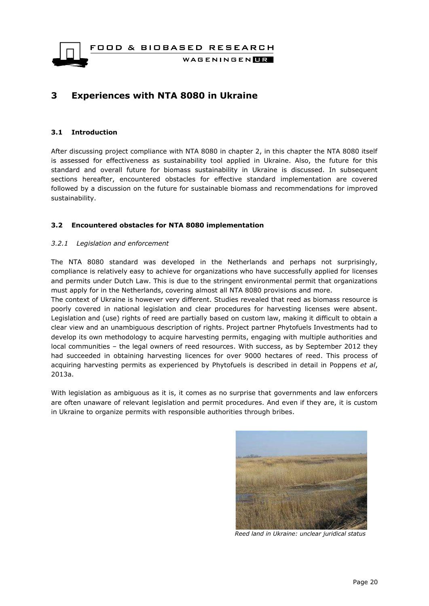WAGENINGEN**LE** 

### <span id="page-19-0"></span>**3 Experiences with NTA 8080 in Ukraine**

#### <span id="page-19-1"></span>**3.1 Introduction**

After discussing project compliance with NTA 8080 in chapter 2, in this chapter the NTA 8080 itself is assessed for effectiveness as sustainability tool applied in Ukraine. Also, the future for this standard and overall future for biomass sustainability in Ukraine is discussed. In subsequent sections hereafter, encountered obstacles for effective standard implementation are covered followed by a discussion on the future for sustainable biomass and recommendations for improved sustainability.

#### <span id="page-19-2"></span>**3.2 Encountered obstacles for NTA 8080 implementation**

#### <span id="page-19-3"></span>*3.2.1 Legislation and enforcement*

The NTA 8080 standard was developed in the Netherlands and perhaps not surprisingly, compliance is relatively easy to achieve for organizations who have successfully applied for licenses and permits under Dutch Law. This is due to the stringent environmental permit that organizations must apply for in the Netherlands, covering almost all NTA 8080 provisions and more.

The context of Ukraine is however very different. Studies revealed that reed as biomass resource is poorly covered in national legislation and clear procedures for harvesting licenses were absent. Legislation and (use) rights of reed are partially based on custom law, making it difficult to obtain a clear view and an unambiguous description of rights. Project partner Phytofuels Investments had to develop its own methodology to acquire harvesting permits, engaging with multiple authorities and local communities – the legal owners of reed resources. With success, as by September 2012 they had succeeded in obtaining harvesting licences for over 9000 hectares of reed. This process of acquiring harvesting permits as experienced by Phytofuels is described in detail in Poppens *et al*, 2013a.

With legislation as ambiguous as it is, it comes as no surprise that governments and law enforcers are often unaware of relevant legislation and permit procedures. And even if they are, it is custom in Ukraine to organize permits with responsible authorities through bribes.



*Reed land in Ukraine: unclear juridical status*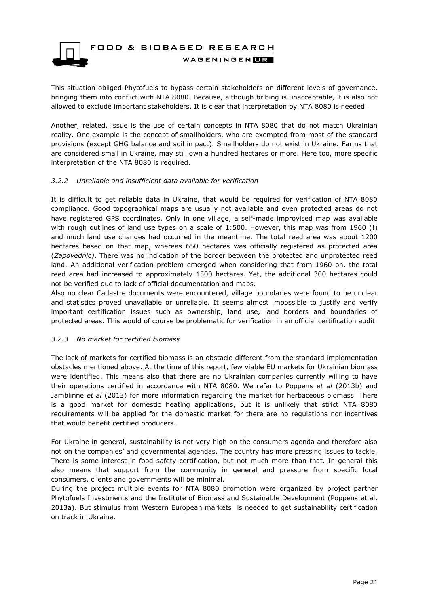

This situation obliged Phytofuels to bypass certain stakeholders on different levels of governance, bringing them into conflict with NTA 8080. Because, although bribing is unacceptable, it is also not allowed to exclude important stakeholders. It is clear that interpretation by NTA 8080 is needed.

Another, related, issue is the use of certain concepts in NTA 8080 that do not match Ukrainian reality. One example is the concept of smallholders, who are exempted from most of the standard provisions (except GHG balance and soil impact). Smallholders do not exist in Ukraine. Farms that are considered small in Ukraine, may still own a hundred hectares or more. Here too, more specific interpretation of the NTA 8080 is required.

#### <span id="page-20-0"></span>*3.2.2 Unreliable and insufficient data available for verification*

It is difficult to get reliable data in Ukraine, that would be required for verification of NTA 8080 compliance. Good topographical maps are usually not available and even protected areas do not have registered GPS coordinates. Only in one village, a self-made improvised map was available with rough outlines of land use types on a scale of 1:500. However, this map was from 1960 (!) and much land use changes had occurred in the meantime. The total reed area was about 1200 hectares based on that map, whereas 650 hectares was officially registered as protected area (*Zapovednic)*. There was no indication of the border between the protected and unprotected reed land. An additional verification problem emerged when considering that from 1960 on, the total reed area had increased to approximately 1500 hectares. Yet, the additional 300 hectares could not be verified due to lack of official documentation and maps.

Also no clear Cadastre documents were encountered, village boundaries were found to be unclear and statistics proved unavailable or unreliable. It seems almost impossible to justify and verify important certification issues such as ownership, land use, land borders and boundaries of protected areas. This would of course be problematic for verification in an official certification audit.

#### <span id="page-20-1"></span>*3.2.3 No market for certified biomass*

The lack of markets for certified biomass is an obstacle different from the standard implementation obstacles mentioned above. At the time of this report, few viable EU markets for Ukrainian biomass were identified. This means also that there are no Ukrainian companies currently willing to have their operations certified in accordance with NTA 8080. We refer to Poppens *et al* (2013b) and Jamblinne *et al* (2013) for more information regarding the market for herbaceous biomass. There is a good market for domestic heating applications, but it is unlikely that strict NTA 8080 requirements will be applied for the domestic market for there are no regulations nor incentives that would benefit certified producers.

For Ukraine in general, sustainability is not very high on the consumers agenda and therefore also not on the companies' and governmental agendas. The country has more pressing issues to tackle. There is some interest in food safety certification, but not much more than that. In general this also means that support from the community in general and pressure from specific local consumers, clients and governments will be minimal.

During the project multiple events for NTA 8080 promotion were organized by project partner Phytofuels Investments and the Institute of Biomass and Sustainable Development (Poppens et al, 2013a). But stimulus from Western European markets is needed to get sustainability certification on track in Ukraine.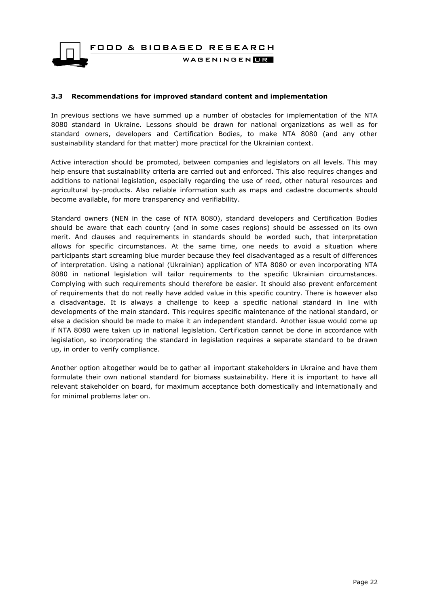FOOD & BIOBASED RESEARCH WAGENINGEN**LE** 

#### <span id="page-21-0"></span>**3.3 Recommendations for improved standard content and implementation**

In previous sections we have summed up a number of obstacles for implementation of the NTA 8080 standard in Ukraine. Lessons should be drawn for national organizations as well as for standard owners, developers and Certification Bodies, to make NTA 8080 (and any other sustainability standard for that matter) more practical for the Ukrainian context.

Active interaction should be promoted, between companies and legislators on all levels. This may help ensure that sustainability criteria are carried out and enforced. This also requires changes and additions to national legislation, especially regarding the use of reed, other natural resources and agricultural by-products. Also reliable information such as maps and cadastre documents should become available, for more transparency and verifiability.

Standard owners (NEN in the case of NTA 8080), standard developers and Certification Bodies should be aware that each country (and in some cases regions) should be assessed on its own merit. And clauses and requirements in standards should be worded such, that interpretation allows for specific circumstances. At the same time, one needs to avoid a situation where participants start screaming blue murder because they feel disadvantaged as a result of differences of interpretation. Using a national (Ukrainian) application of NTA 8080 or even incorporating NTA 8080 in national legislation will tailor requirements to the specific Ukrainian circumstances. Complying with such requirements should therefore be easier. It should also prevent enforcement of requirements that do not really have added value in this specific country. There is however also a disadvantage. It is always a challenge to keep a specific national standard in line with developments of the main standard. This requires specific maintenance of the national standard, or else a decision should be made to make it an independent standard. Another issue would come up if NTA 8080 were taken up in national legislation. Certification cannot be done in accordance with legislation, so incorporating the standard in legislation requires a separate standard to be drawn up, in order to verify compliance.

Another option altogether would be to gather all important stakeholders in Ukraine and have them formulate their own national standard for biomass sustainability. Here it is important to have all relevant stakeholder on board, for maximum acceptance both domestically and internationally and for minimal problems later on.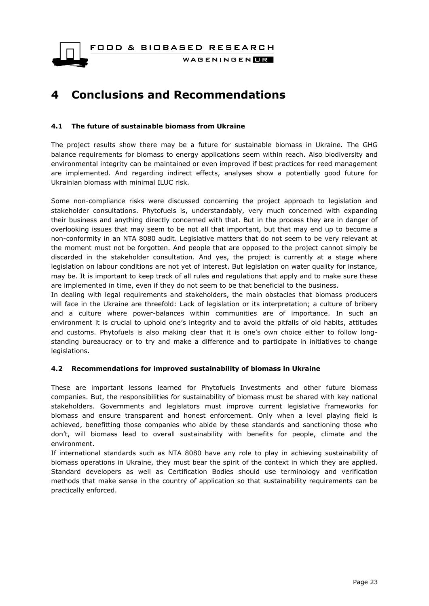WAGENINGEN**LE** 

## <span id="page-22-0"></span>**4 Conclusions and Recommendations**

#### <span id="page-22-1"></span>**4.1 The future of sustainable biomass from Ukraine**

The project results show there may be a future for sustainable biomass in Ukraine. The GHG balance requirements for biomass to energy applications seem within reach. Also biodiversity and environmental integrity can be maintained or even improved if best practices for reed management are implemented. And regarding indirect effects, analyses show a potentially good future for Ukrainian biomass with minimal ILUC risk.

Some non-compliance risks were discussed concerning the project approach to legislation and stakeholder consultations. Phytofuels is, understandably, very much concerned with expanding their business and anything directly concerned with that. But in the process they are in danger of overlooking issues that may seem to be not all that important, but that may end up to become a non-conformity in an NTA 8080 audit. Legislative matters that do not seem to be very relevant at the moment must not be forgotten. And people that are opposed to the project cannot simply be discarded in the stakeholder consultation. And yes, the project is currently at a stage where legislation on labour conditions are not yet of interest. But legislation on water quality for instance, may be. It is important to keep track of all rules and regulations that apply and to make sure these are implemented in time, even if they do not seem to be that beneficial to the business.

In dealing with legal requirements and stakeholders, the main obstacles that biomass producers will face in the Ukraine are threefold: Lack of legislation or its interpretation; a culture of bribery and a culture where power-balances within communities are of importance. In such an environment it is crucial to uphold one's integrity and to avoid the pitfalls of old habits, attitudes and customs. Phytofuels is also making clear that it is one's own choice either to follow longstanding bureaucracy or to try and make a difference and to participate in initiatives to change legislations.

#### <span id="page-22-2"></span>**4.2 Recommendations for improved sustainability of biomass in Ukraine**

These are important lessons learned for Phytofuels Investments and other future biomass companies. But, the responsibilities for sustainability of biomass must be shared with key national stakeholders. Governments and legislators must improve current legislative frameworks for biomass and ensure transparent and honest enforcement. Only when a level playing field is achieved, benefitting those companies who abide by these standards and sanctioning those who don't, will biomass lead to overall sustainability with benefits for people, climate and the environment.

If international standards such as NTA 8080 have any role to play in achieving sustainability of biomass operations in Ukraine, they must bear the spirit of the context in which they are applied. Standard developers as well as Certification Bodies should use terminology and verification methods that make sense in the country of application so that sustainability requirements can be practically enforced.